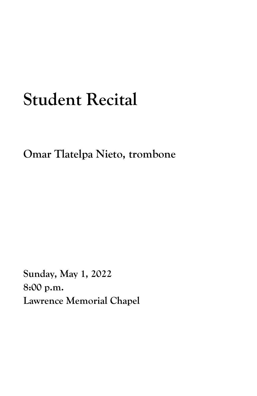## **Student Recital**

**Omar Tlatelpa Nieto, trombone**

**Sunday, May 1, 2022 8:00 p.m. Lawrence Memorial Chapel**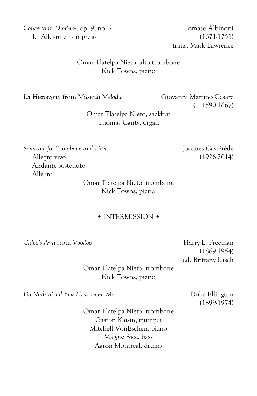*Concerto in D minor,* op. 9, no. 2 Tomaso Albinoni I. Allegro e non presto (1671-1751)

trans. Mark Lawrence

## Omar Tlatelpa Nieto, alto trombone Nick Towns, piano

*La Hieronyma* from *Musicali Melodie* Giovanni Martino Cesare

(c. 1590-1667)

Omar Tlatelpa Nieto, sackbut Thomas Canty, organ

*Sonatine for Trombone and Piano* Jacques Castérède Allegro vivo (1926-2014) Andante sostenuto Allegro

> Omar Tlatelpa Nieto, trombone Nick Towns, piano

## • INTERMISSION •

*Chloe's Aria* from *Voodoo* Harry L. Freeman

(1869-1954) ed. Brittany Lasch

Omar Tlatelpa Nieto, trombone Nick Towns, piano

*Do Nothin*<sup>'</sup> *Til You Hear From Me* Duke Ellington

(1899-1974)

Omar Tlatelpa Nieto, trombone Gaston Kaisin, trumpet Mitchell VonEschen, piano Maggie Bice, bass Aaron Montreal, drums